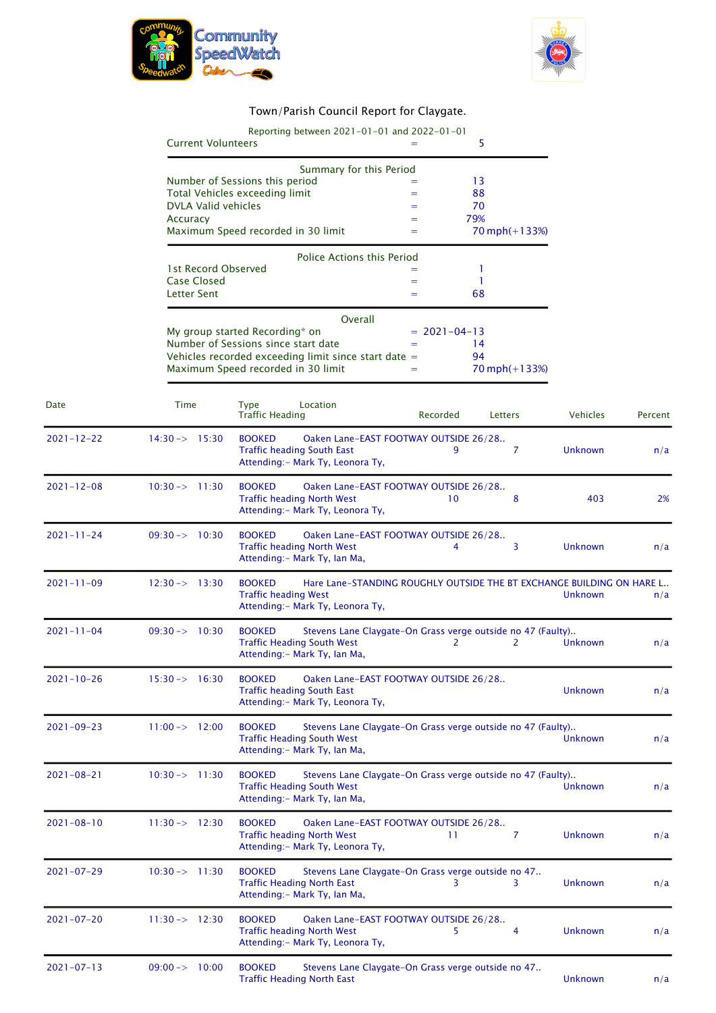



## Town/Parish Council Report for Claygate.

|                  | Reporting between 2021-01-01 and 2022-01-01<br><b>Current Volunteers</b><br>5<br>Summary for this Period<br>Number of Sessions this period<br>13<br>Total Vehicles exceeding limit<br>88<br>$=$<br><b>DVLA Valid vehicles</b><br>70<br>$=$<br>79%<br>Accuracy<br>$=$<br>Maximum Speed recorded in 30 limit<br>$70$ mph $(+133%)$<br>$=$ |                                                                                                                                                              |                |         |
|------------------|-----------------------------------------------------------------------------------------------------------------------------------------------------------------------------------------------------------------------------------------------------------------------------------------------------------------------------------------|--------------------------------------------------------------------------------------------------------------------------------------------------------------|----------------|---------|
|                  |                                                                                                                                                                                                                                                                                                                                         |                                                                                                                                                              |                |         |
|                  | <b>Police Actions this Period</b><br>1st Record Observed<br>1<br>$=$<br><b>Case Closed</b><br>1<br>$=$<br><b>Letter Sent</b><br>68<br>$=$                                                                                                                                                                                               |                                                                                                                                                              |                |         |
|                  | Overall<br>My group started Recording* on<br>$= 2021 - 04 - 13$<br>Number of Sessions since start date<br>14<br>Vehicles recorded exceeding limit since start date =<br>94<br>Maximum Speed recorded in 30 limit<br>$70$ mph $(+133%)$<br>$=$                                                                                           |                                                                                                                                                              |                |         |
| Date             | Time                                                                                                                                                                                                                                                                                                                                    | <b>Type</b><br>Location<br>Recorded<br><b>Traffic Heading</b><br>Letters                                                                                     | Vehicles       | Percent |
| $2021 - 12 - 22$ | $14:30 \rightarrow 15:30$                                                                                                                                                                                                                                                                                                               | <b>BOOKED</b><br>Oaken Lane-EAST FOOTWAY OUTSIDE 26/28<br><b>Traffic heading South East</b><br>9<br>7<br>Attending: - Mark Ty, Leonora Ty,                   | <b>Unknown</b> | n/a     |
| $2021 - 12 - 08$ | $10:30 \rightarrow 11:30$                                                                                                                                                                                                                                                                                                               | <b>BOOKED</b><br>Oaken Lane-EAST FOOTWAY OUTSIDE 26/28<br><b>Traffic heading North West</b><br>8<br>10<br>Attending:- Mark Ty, Leonora Ty,                   | 403            | 2%      |
| $2021 - 11 - 24$ | $09:30 \rightarrow 10:30$                                                                                                                                                                                                                                                                                                               | <b>BOOKED</b><br>Oaken Lane-EAST FOOTWAY OUTSIDE 26/28<br><b>Traffic heading North West</b><br>3<br>4<br>Attending: - Mark Ty, Ian Ma,                       | <b>Unknown</b> | n/a     |
| $2021 - 11 - 09$ | $12:30 \rightarrow 13:30$                                                                                                                                                                                                                                                                                                               | <b>BOOKED</b><br>Hare Lane-STANDING ROUGHLY OUTSIDE THE BT EXCHANGE BUILDING ON HARE L<br><b>Traffic heading West</b><br>Attending: - Mark Ty, Leonora Ty,   | Unknown        | n/a     |
| $2021 - 11 - 04$ | $09:30 \rightarrow 10:30$                                                                                                                                                                                                                                                                                                               | <b>BOOKED</b><br>Stevens Lane Claygate-On Grass verge outside no 47 (Faulty)<br><b>Traffic Heading South West</b><br>2<br>2<br>Attending: - Mark Ty, Ian Ma, | Unknown        | n/a     |
| $2021 - 10 - 26$ | $15:30 \rightarrow 16:30$                                                                                                                                                                                                                                                                                                               | <b>BOOKED</b><br>Oaken Lane-EAST FOOTWAY OUTSIDE 26/28<br><b>Traffic heading South East</b><br>Attending: - Mark Ty, Leonora Ty,                             | <b>Unknown</b> | n/a     |
| $2021 - 09 - 23$ | $11:00 \rightarrow 12:00$                                                                                                                                                                                                                                                                                                               | <b>BOOKED</b><br>Stevens Lane Claygate-On Grass verge outside no 47 (Faulty)<br><b>Traffic Heading South West</b><br>Attending: - Mark Ty, Ian Ma,           | Unknown        | n/a     |
| $2021 - 08 - 21$ | $10:30 \rightarrow 11:30$                                                                                                                                                                                                                                                                                                               | <b>BOOKED</b><br>Stevens Lane Claygate-On Grass verge outside no 47 (Faulty)<br><b>Traffic Heading South West</b><br>Attending: - Mark Ty, Ian Ma,           | <b>Unknown</b> | n/a     |
| $2021 - 08 - 10$ | $11:30 \rightarrow 12:30$                                                                                                                                                                                                                                                                                                               | <b>BOOKED</b><br>Oaken Lane-EAST FOOTWAY OUTSIDE 26/28<br><b>Traffic heading North West</b><br>7<br>-11<br>Attending: - Mark Ty, Leonora Ty,                 | Unknown        | n/a     |
| $2021 - 07 - 29$ | $10:30 \rightarrow 11:30$                                                                                                                                                                                                                                                                                                               | <b>BOOKED</b><br>Stevens Lane Claygate-On Grass verge outside no 47<br><b>Traffic Heading North East</b><br>3<br>3<br>Attending: - Mark Ty, Ian Ma,          | <b>Unknown</b> | n/a     |
| $2021 - 07 - 20$ | $11:30 \rightarrow 12:30$                                                                                                                                                                                                                                                                                                               | <b>BOOKED</b><br>Oaken Lane-EAST FOOTWAY OUTSIDE 26/28<br><b>Traffic heading North West</b><br>4<br>5.<br>Attending: - Mark Ty, Leonora Ty,                  | Unknown        | n/a     |
| $2021 - 07 - 13$ | $09:00 \rightarrow 10:00$                                                                                                                                                                                                                                                                                                               | <b>BOOKED</b><br>Stevens Lane Claygate-On Grass verge outside no 47<br><b>Traffic Heading North East</b>                                                     | Unknown        | n/a     |